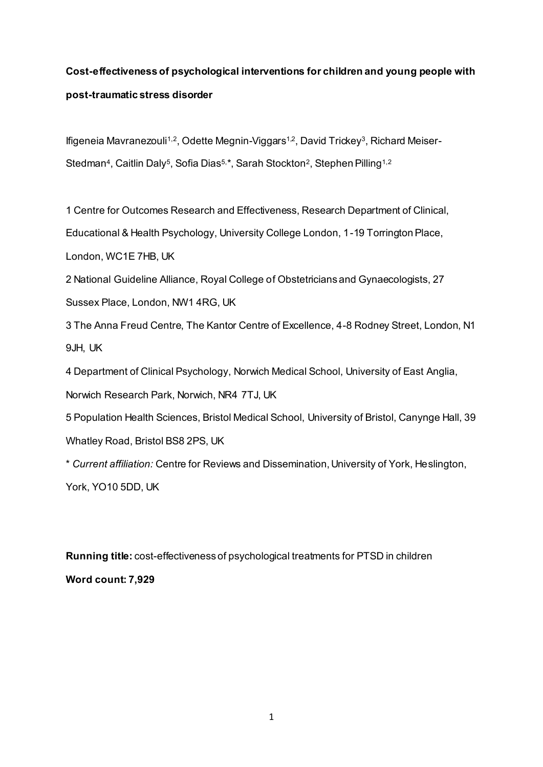# **Cost-effectiveness of psychological interventions for children and young people with post-traumatic stress disorder**

lfigeneia Mavranezouli<sup>1,2</sup>, Odette Megnin-Viggars<sup>1,2</sup>, David Trickey<sup>3</sup>, Richard Meiser-Stedman<sup>4</sup>, Caitlin Daly<sup>5</sup>, Sofia Dias<sup>5,</sup>\*, Sarah Stockton<sup>2</sup>, Stephen Pilling<sup>1,2</sup>

1 Centre for Outcomes Research and Effectiveness, Research Department of Clinical,

Educational & Health Psychology, University College London, 1-19 Torrington Place,

London, WC1E 7HB, UK

2 National Guideline Alliance, Royal College of Obstetricians and Gynaecologists, 27 Sussex Place, London, NW1 4RG, UK

3 The Anna Freud Centre, The Kantor Centre of Excellence, 4-8 Rodney Street, London, N1 9JH, UK

4 Department of Clinical Psychology, Norwich Medical School, University of East Anglia,

Norwich Research Park, Norwich, NR4 7TJ, UK

5 Population Health Sciences, Bristol Medical School, University of Bristol, Canynge Hall, 39 Whatley Road, Bristol BS8 2PS, UK

\* *Current affiliation:* Centre for Reviews and Dissemination, University of York, Heslington, York, YO10 5DD, UK

**Running title:** cost-effectiveness of psychological treatments for PTSD in children **Word count: 7,929**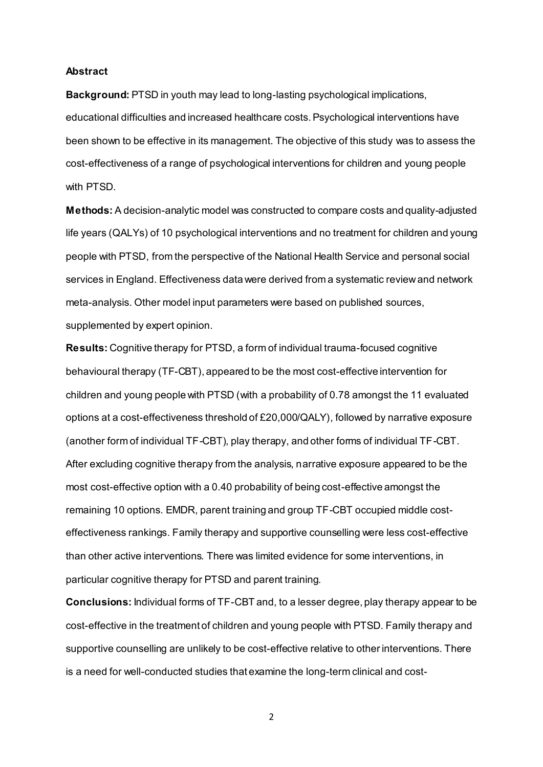#### **Abstract**

**Background:** PTSD in youth may lead to long-lasting psychological implications, educational difficulties and increased healthcare costs. Psychological interventions have been shown to be effective in its management. The objective of this study was to assess the cost-effectiveness of a range of psychological interventions for children and young people with PTSD.

**Methods:** A decision-analytic model was constructed to compare costs and quality-adjusted life years (QALYs) of 10 psychological interventions and no treatment for children and young people with PTSD, from the perspective of the National Health Service and personal social services in England. Effectiveness data were derived from a systematic review and network meta-analysis. Other model input parameters were based on published sources, supplemented by expert opinion.

**Results:** Cognitive therapy for PTSD, a form of individual trauma-focused cognitive behavioural therapy (TF-CBT), appeared to be the most cost-effective intervention for children and young people with PTSD (with a probability of 0.78 amongst the 11 evaluated options at a cost-effectiveness threshold of £20,000/QALY), followed by narrative exposure (another form of individual TF-CBT), play therapy, and other forms of individual TF-CBT. After excluding cognitive therapy from the analysis, narrative exposure appeared to be the most cost-effective option with a 0.40 probability of being cost-effective amongst the remaining 10 options. EMDR, parent training and group TF-CBT occupied middle costeffectiveness rankings. Family therapy and supportive counselling were less cost-effective than other active interventions. There was limited evidence for some interventions, in particular cognitive therapy for PTSD and parent training.

**Conclusions:** Individual forms of TF-CBT and, to a lesser degree, play therapy appear to be cost-effective in the treatment of children and young people with PTSD. Family therapy and supportive counselling are unlikely to be cost-effective relative to other interventions. There is a need for well-conducted studies that examine the long-term clinical and cost-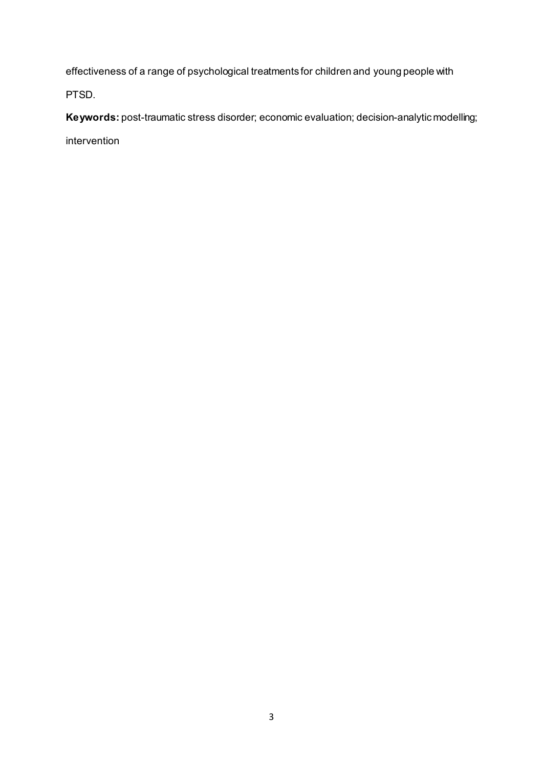effectiveness of a range of psychological treatments for children and young people with

PTSD.

**Keywords:** post-traumatic stress disorder; economic evaluation; decision-analytic modelling; intervention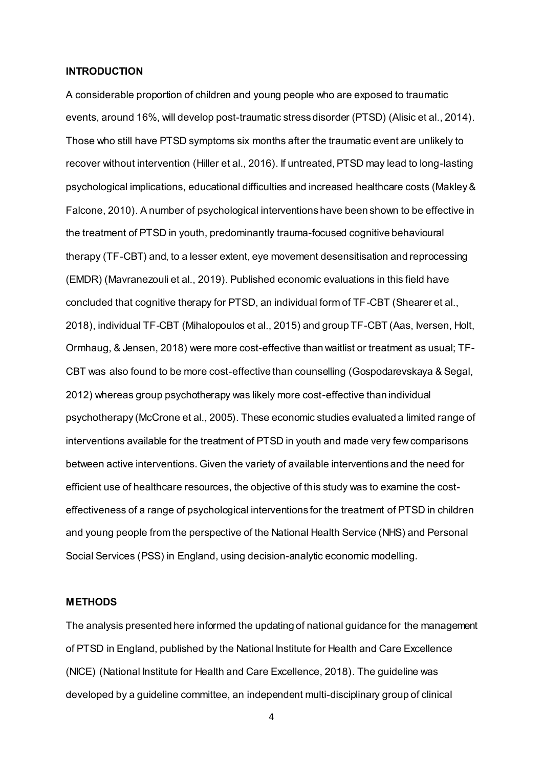#### **INTRODUCTION**

A considerable proportion of children and young people who are exposed to traumatic events, around 16%, will develop post-traumatic stress disorder (PTSD) (Alisic et al., 2014). Those who still have PTSD symptoms six months after the traumatic event are unlikely to recover without intervention (Hiller et al., 2016). If untreated, PTSD may lead to long-lasting psychological implications, educational difficulties and increased healthcare costs (Makley & Falcone, 2010). A number of psychological interventions have been shown to be effective in the treatment of PTSD in youth, predominantly trauma-focused cognitive behavioural therapy (TF-CBT) and, to a lesser extent, eye movement desensitisation and reprocessing (EMDR) (Mavranezouli et al., 2019). Published economic evaluations in this field have concluded that cognitive therapy for PTSD, an individual form of TF-CBT (Shearer et al., 2018), individual TF-CBT (Mihalopoulos et al., 2015) and group TF-CBT (Aas, Iversen, Holt, Ormhaug, & Jensen, 2018) were more cost-effective than waitlist or treatment as usual; TF-CBT was also found to be more cost-effective than counselling (Gospodarevskaya & Segal, 2012) whereas group psychotherapy was likely more cost-effective than individual psychotherapy (McCrone et al., 2005). These economic studies evaluated a limited range of interventions available for the treatment of PTSD in youth and made very few comparisons between active interventions. Given the variety of available interventions and the need for efficient use of healthcare resources, the objective of this study was to examine the costeffectiveness of a range of psychological interventions for the treatment of PTSD in children and young people from the perspective of the National Health Service (NHS) and Personal Social Services (PSS) in England, using decision-analytic economic modelling.

#### **METHODS**

The analysis presented here informed the updating of national guidance for the management of PTSD in England, published by the National Institute for Health and Care Excellence (NICE) (National Institute for Health and Care Excellence, 2018). The guideline was developed by a guideline committee, an independent multi-disciplinary group of clinical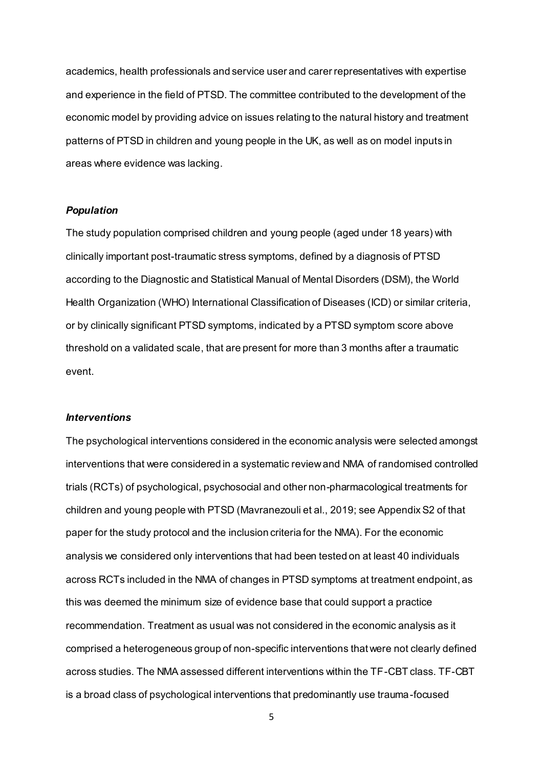academics, health professionals and service user and carer representatives with expertise and experience in the field of PTSD. The committee contributed to the development of the economic model by providing advice on issues relating to the natural history and treatment patterns of PTSD in children and young people in the UK, as well as on model inputs in areas where evidence was lacking.

### *Population*

The study population comprised children and young people (aged under 18 years) with clinically important post-traumatic stress symptoms, defined by a diagnosis of PTSD according to the Diagnostic and Statistical Manual of Mental Disorders (DSM), the World Health Organization (WHO) International Classification of Diseases (ICD) or similar criteria, or by clinically significant PTSD symptoms, indicated by a PTSD symptom score above threshold on a validated scale, that are present for more than 3 months after a traumatic event.

#### *Interventions*

The psychological interventions considered in the economic analysis were selected amongst interventions that were considered in a systematic review and NMA of randomised controlled trials (RCTs) of psychological, psychosocial and other non-pharmacological treatments for children and young people with PTSD (Mavranezouli et al., 2019; see Appendix S2 of that paper for the study protocol and the inclusion criteria for the NMA). For the economic analysis we considered only interventions that had been tested on at least 40 individuals across RCTs included in the NMA of changes in PTSD symptoms at treatment endpoint, as this was deemed the minimum size of evidence base that could support a practice recommendation. Treatment as usual was not considered in the economic analysis as it comprised a heterogeneous group of non-specific interventions that were not clearly defined across studies. The NMA assessed different interventions within the TF-CBT class. TF-CBT is a broad class of psychological interventions that predominantly use trauma-focused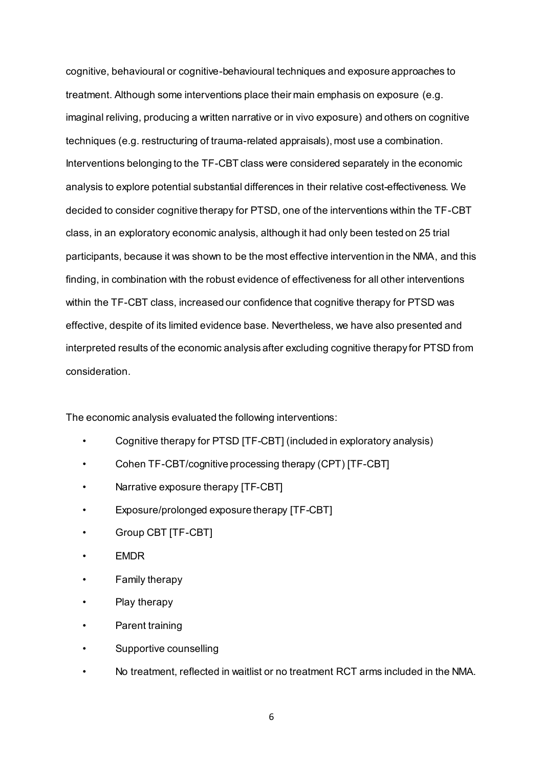cognitive, behavioural or cognitive-behavioural techniques and exposure approaches to treatment. Although some interventions place their main emphasis on exposure (e.g. imaginal reliving, producing a written narrative or in vivo exposure) and others on cognitive techniques (e.g. restructuring of trauma-related appraisals), most use a combination. Interventions belonging to the TF-CBT class were considered separately in the economic analysis to explore potential substantial differences in their relative cost-effectiveness. We decided to consider cognitive therapy for PTSD, one of the interventions within the TF-CBT class, in an exploratory economic analysis, although it had only been tested on 25 trial participants, because it was shown to be the most effective intervention in the NMA, and this finding, in combination with the robust evidence of effectiveness for all other interventions within the TF-CBT class, increased our confidence that cognitive therapy for PTSD was effective, despite of its limited evidence base. Nevertheless, we have also presented and interpreted results of the economic analysis after excluding cognitive therapy for PTSD from consideration.

The economic analysis evaluated the following interventions:

- Cognitive therapy for PTSD [TF-CBT] (included in exploratory analysis)
- Cohen TF-CBT/cognitive processing therapy (CPT) [TF-CBT]
- Narrative exposure therapy [TF-CBT]
- Exposure/prolonged exposure therapy [TF-CBT]
- Group CBT [TF-CBT]
- EMDR
- Family therapy
- Play therapy
- Parent training
- Supportive counselling
- No treatment, reflected in waitlist or no treatment RCT arms included in the NMA.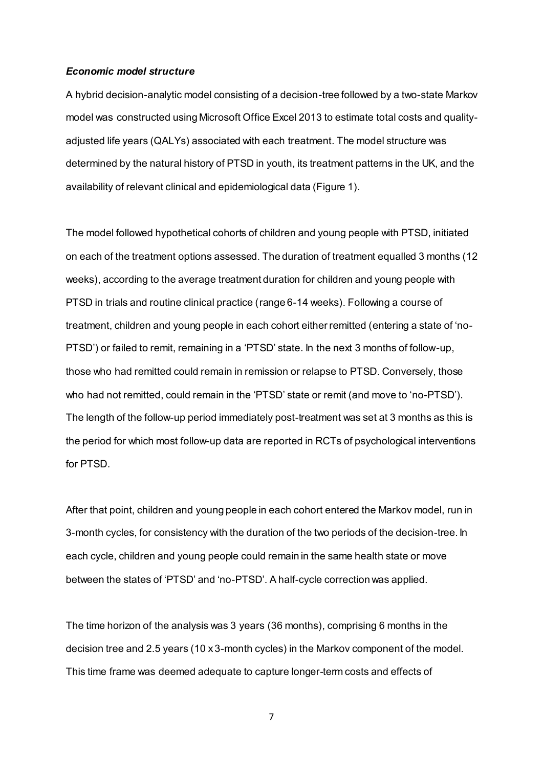#### *Economic model structure*

A hybrid decision-analytic model consisting of a decision-tree followed by a two-state Markov model was constructed using Microsoft Office Excel 2013 to estimate total costs and qualityadjusted life years (QALYs) associated with each treatment. The model structure was determined by the natural history of PTSD in youth, its treatment patterns in the UK, and the availability of relevant clinical and epidemiological data (Figure 1).

The model followed hypothetical cohorts of children and young people with PTSD, initiated on each of the treatment options assessed. The duration of treatment equalled 3 months (12 weeks), according to the average treatment duration for children and young people with PTSD in trials and routine clinical practice (range 6-14 weeks). Following a course of treatment, children and young people in each cohort either remitted (entering a state of 'no-PTSD') or failed to remit, remaining in a 'PTSD' state. In the next 3 months of follow-up, those who had remitted could remain in remission or relapse to PTSD. Conversely, those who had not remitted, could remain in the 'PTSD' state or remit (and move to 'no-PTSD'). The length of the follow-up period immediately post-treatment was set at 3 months as this is the period for which most follow-up data are reported in RCTs of psychological interventions for PTSD.

After that point, children and young people in each cohort entered the Markov model, run in 3-month cycles, for consistency with the duration of the two periods of the decision-tree. In each cycle, children and young people could remain in the same health state or move between the states of 'PTSD' and 'no-PTSD'. A half-cycle correction was applied.

The time horizon of the analysis was 3 years (36 months), comprising 6 months in the decision tree and 2.5 years (10 x 3-month cycles) in the Markov component of the model. This time frame was deemed adequate to capture longer-term costs and effects of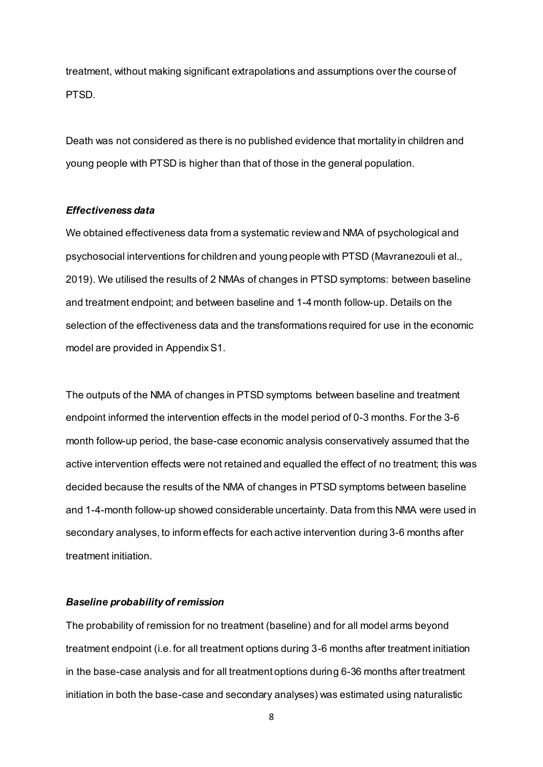treatment, without making significant extrapolations and assumptions over the course of PTSD.

Death was not considered as there is no published evidence that mortality in children and young people with PTSD is higher than that of those in the general population.

#### *Effectiveness data*

We obtained effectiveness data from a systematic review and NMA of psychological and psychosocial interventions for children and young people with PTSD (Mavranezouli et al., 2019). We utilised the results of 2 NMAs of changes in PTSD symptoms: between baseline and treatment endpoint; and between baseline and 1-4 month follow-up. Details on the selection of the effectiveness data and the transformations required for use in the economic model are provided in Appendix S1.

The outputs of the NMA of changes in PTSD symptoms between baseline and treatment endpoint informed the intervention effects in the model period of 0-3 months. For the 3-6 month follow-up period, the base-case economic analysis conservatively assumed that the active intervention effects were not retained and equalled the effect of no treatment; this was decided because the results of the NMA of changes in PTSD symptoms between baseline and 1-4-month follow-up showed considerable uncertainty. Data from this NMA were used in secondary analyses, to inform effects for each active intervention during 3-6 months after treatment initiation.

#### *Baseline probability of remission*

The probability of remission for no treatment (baseline) and for all model arms beyond treatment endpoint (i.e. for all treatment options during 3-6 months after treatment initiation in the base-case analysis and for all treatment options during 6-36 months after treatment initiation in both the base-case and secondary analyses) was estimated using naturalistic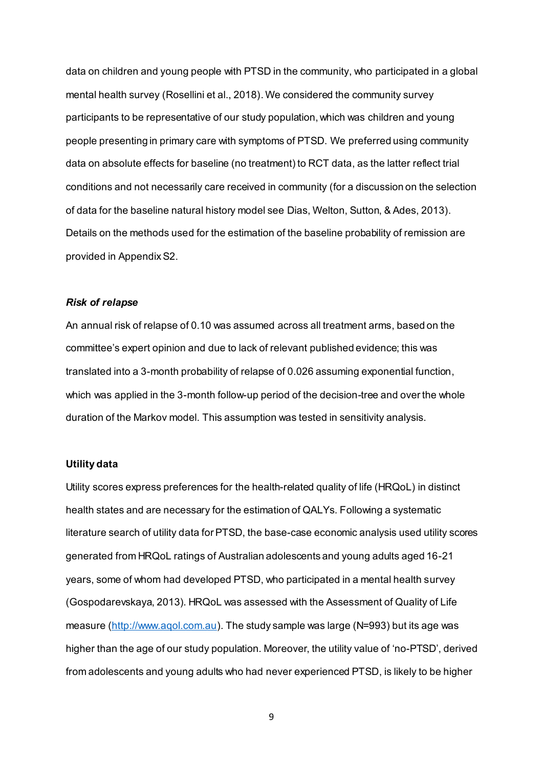data on children and young people with PTSD in the community, who participated in a global mental health survey (Rosellini et al., 2018). We considered the community survey participants to be representative of our study population, which was children and young people presenting in primary care with symptoms of PTSD. We preferred using community data on absolute effects for baseline (no treatment) to RCT data, as the latter reflect trial conditions and not necessarily care received in community (for a discussion on the selection of data for the baseline natural history model see Dias, Welton, Sutton, & Ades, 2013). Details on the methods used for the estimation of the baseline probability of remission are provided in Appendix S2.

#### *Risk of relapse*

An annual risk of relapse of 0.10 was assumed across all treatment arms, based on the committee's expert opinion and due to lack of relevant published evidence; this was translated into a 3-month probability of relapse of 0.026 assuming exponential function, which was applied in the 3-month follow-up period of the decision-tree and over the whole duration of the Markov model. This assumption was tested in sensitivity analysis.

### **Utility data**

Utility scores express preferences for the health-related quality of life (HRQoL) in distinct health states and are necessary for the estimation of QALYs. Following a systematic literature search of utility data for PTSD, the base-case economic analysis used utility scores generated from HRQoL ratings of Australian adolescents and young adults aged 16-21 years, some of whom had developed PTSD, who participated in a mental health survey (Gospodarevskaya, 2013). HRQoL was assessed with the Assessment of Quality of Life measure [\(http://www.aqol.com.au\)](http://www.aqol.com.au/). The study sample was large (N=993) but its age was higher than the age of our study population. Moreover, the utility value of 'no-PTSD', derived from adolescents and young adults who had never experienced PTSD, is likely to be higher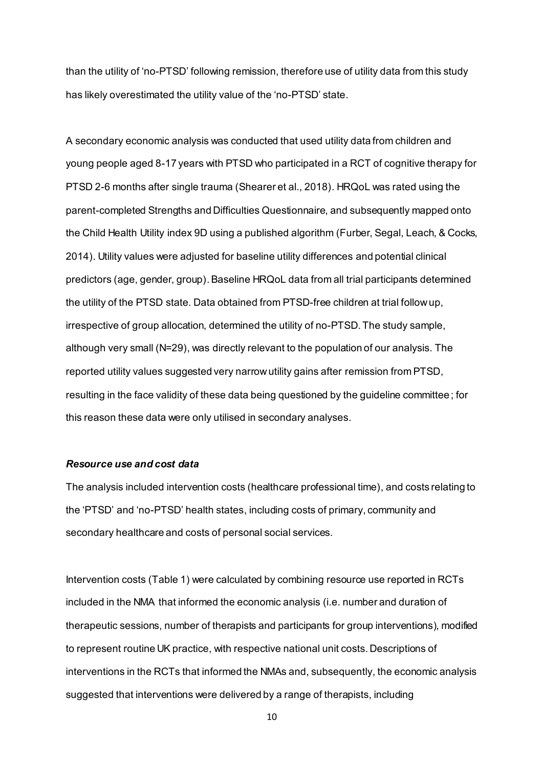than the utility of 'no-PTSD' following remission, therefore use of utility data from this study has likely overestimated the utility value of the 'no-PTSD' state.

A secondary economic analysis was conducted that used utility data from children and young people aged 8-17 years with PTSD who participated in a RCT of cognitive therapy for PTSD 2-6 months after single trauma (Shearer et al., 2018). HRQoL was rated using the parent-completed Strengths and Difficulties Questionnaire, and subsequently mapped onto the Child Health Utility index 9D using a published algorithm (Furber, Segal, Leach, & Cocks, 2014). Utility values were adjusted for baseline utility differences and potential clinical predictors (age, gender, group).Baseline HRQoL data from all trial participants determined the utility of the PTSD state. Data obtained from PTSD-free children at trial follow up, irrespective of group allocation, determined the utility of no-PTSD.The study sample, although very small (N=29), was directly relevant to the population of our analysis. The reported utility values suggested very narrow utility gains after remission from PTSD, resulting in the face validity of these data being questioned by the guideline committee; for this reason these data were only utilised in secondary analyses.

### *Resource use and cost data*

The analysis included intervention costs (healthcare professional time), and costs relating to the 'PTSD' and 'no-PTSD' health states, including costs of primary, community and secondary healthcare and costs of personal social services.

Intervention costs (Table 1) were calculated by combining resource use reported in RCTs included in the NMA that informed the economic analysis (i.e. number and duration of therapeutic sessions, number of therapists and participants for group interventions), modified to represent routine UK practice, with respective national unit costs. Descriptions of interventions in the RCTs that informed the NMAs and, subsequently, the economic analysis suggested that interventions were delivered by a range of therapists, including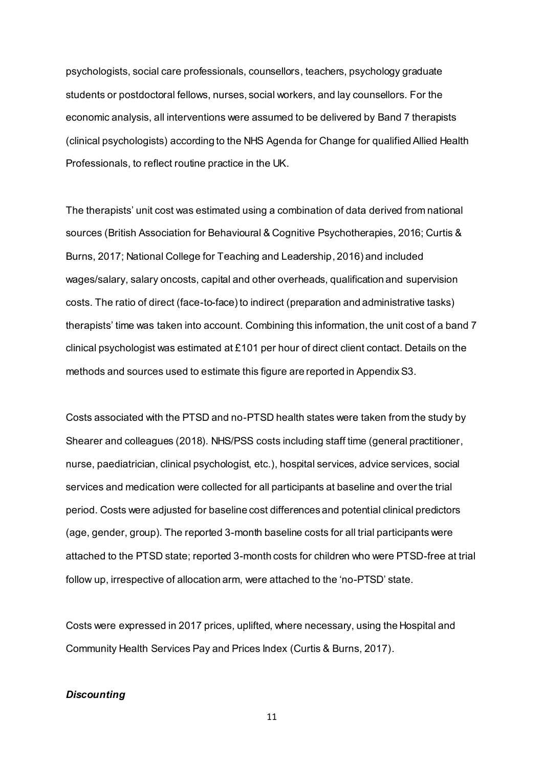psychologists, social care professionals, counsellors, teachers, psychology graduate students or postdoctoral fellows, nurses, social workers, and lay counsellors. For the economic analysis, all interventions were assumed to be delivered by Band 7 therapists (clinical psychologists) according to the NHS Agenda for Change for qualified Allied Health Professionals, to reflect routine practice in the UK.

The therapists' unit cost was estimated using a combination of data derived from national sources (British Association for Behavioural & Cognitive Psychotherapies, 2016; Curtis & Burns, 2017; National College for Teaching and Leadership, 2016) and included wages/salary, salary oncosts, capital and other overheads, qualification and supervision costs. The ratio of direct (face-to-face) to indirect (preparation and administrative tasks) therapists' time was taken into account. Combining this information, the unit cost of a band 7 clinical psychologist was estimated at £101 per hour of direct client contact. Details on the methods and sources used to estimate this figure are reported in Appendix S3.

Costs associated with the PTSD and no-PTSD health states were taken from the study by Shearer and colleagues (2018). NHS/PSS costs including staff time (general practitioner, nurse, paediatrician, clinical psychologist, etc.), hospital services, advice services, social services and medication were collected for all participants at baseline and over the trial period. Costs were adjusted for baseline cost differences and potential clinical predictors (age, gender, group). The reported 3-month baseline costs for all trial participants were attached to the PTSD state; reported 3-month costs for children who were PTSD-free at trial follow up, irrespective of allocation arm, were attached to the 'no-PTSD' state.

Costs were expressed in 2017 prices, uplifted, where necessary, using the Hospital and Community Health Services Pay and Prices Index (Curtis & Burns, 2017).

### *Discounting*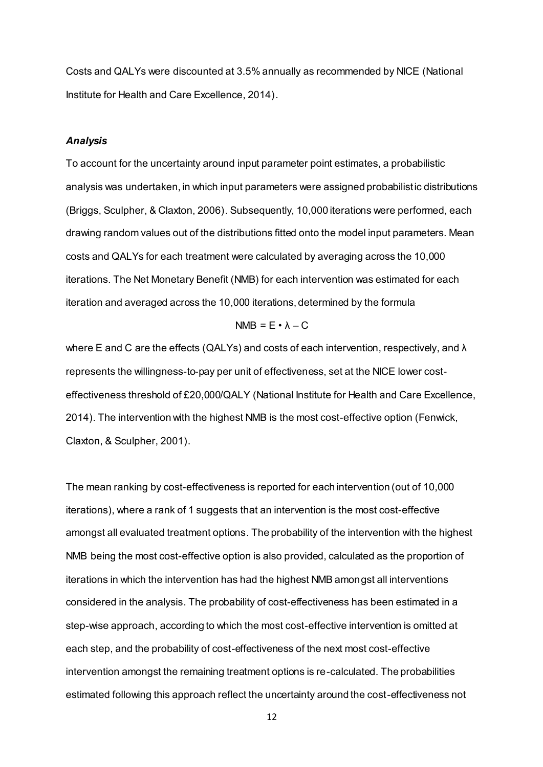Costs and QALYs were discounted at 3.5% annually as recommended by NICE (National Institute for Health and Care Excellence, 2014).

#### *Analysis*

To account for the uncertainty around input parameter point estimates, a probabilistic analysis was undertaken, in which input parameters were assigned probabilistic distributions (Briggs, Sculpher, & Claxton, 2006). Subsequently, 10,000 iterations were performed, each drawing random values out of the distributions fitted onto the model input parameters. Mean costs and QALYs for each treatment were calculated by averaging across the 10,000 iterations. The Net Monetary Benefit (NMB) for each intervention was estimated for each iteration and averaged across the 10,000 iterations, determined by the formula

#### $NMB = E \cdot \lambda - C$

where E and C are the effects (QALYs) and costs of each intervention, respectively, and λ represents the willingness-to-pay per unit of effectiveness, set at the NICE lower costeffectiveness threshold of £20,000/QALY (National Institute for Health and Care Excellence, 2014). The intervention with the highest NMB is the most cost-effective option (Fenwick, Claxton, & Sculpher, 2001).

The mean ranking by cost-effectiveness is reported for each intervention (out of 10,000 iterations), where a rank of 1 suggests that an intervention is the most cost-effective amongst all evaluated treatment options. The probability of the intervention with the highest NMB being the most cost-effective option is also provided, calculated as the proportion of iterations in which the intervention has had the highest NMB amongst all interventions considered in the analysis. The probability of cost-effectiveness has been estimated in a step-wise approach, according to which the most cost-effective intervention is omitted at each step, and the probability of cost-effectiveness of the next most cost-effective intervention amongst the remaining treatment options is re-calculated. The probabilities estimated following this approach reflect the uncertainty around the cost-effectiveness not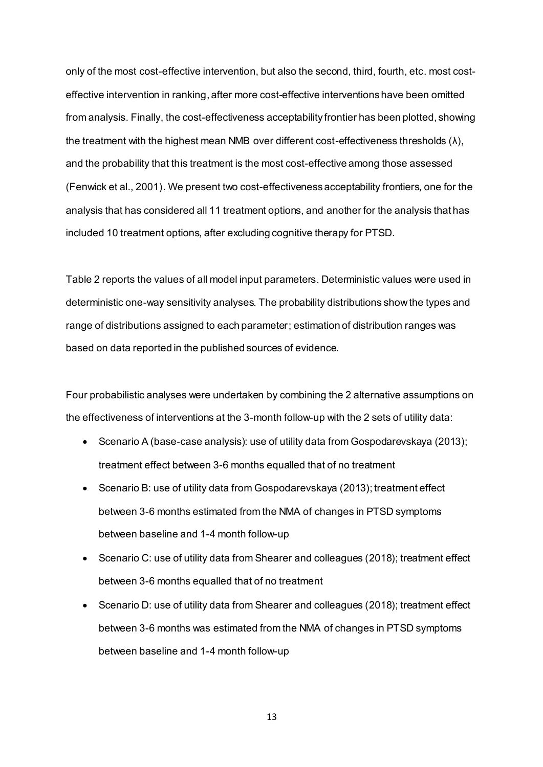only of the most cost-effective intervention, but also the second, third, fourth, etc. most costeffective intervention in ranking, after more cost-effective interventions have been omitted from analysis. Finally, the cost-effectiveness acceptability frontier has been plotted, showing the treatment with the highest mean NMB over different cost-effectiveness thresholds  $(\lambda)$ , and the probability that this treatment is the most cost-effective among those assessed (Fenwick et al., 2001). We present two cost-effectiveness acceptability frontiers, one for the analysis that has considered all 11 treatment options, and another for the analysis that has included 10 treatment options, after excluding cognitive therapy for PTSD.

Table 2 reports the values of all model input parameters. Deterministic values were used in deterministic one-way sensitivity analyses. The probability distributions show the types and range of distributions assigned to each parameter; estimation of distribution ranges was based on data reported in the published sources of evidence.

Four probabilistic analyses were undertaken by combining the 2 alternative assumptions on the effectiveness of interventions at the 3-month follow-up with the 2 sets of utility data:

- Scenario A (base-case analysis): use of utility data from Gospodarevskaya (2013); treatment effect between 3-6 months equalled that of no treatment
- Scenario B: use of utility data from Gospodarevskaya (2013); treatment effect between 3-6 months estimated from the NMA of changes in PTSD symptoms between baseline and 1-4 month follow-up
- Scenario C: use of utility data from Shearer and colleagues (2018); treatment effect between 3-6 months equalled that of no treatment
- Scenario D: use of utility data from Shearer and colleagues (2018); treatment effect between 3-6 months was estimated from the NMA of changes in PTSD symptoms between baseline and 1-4 month follow-up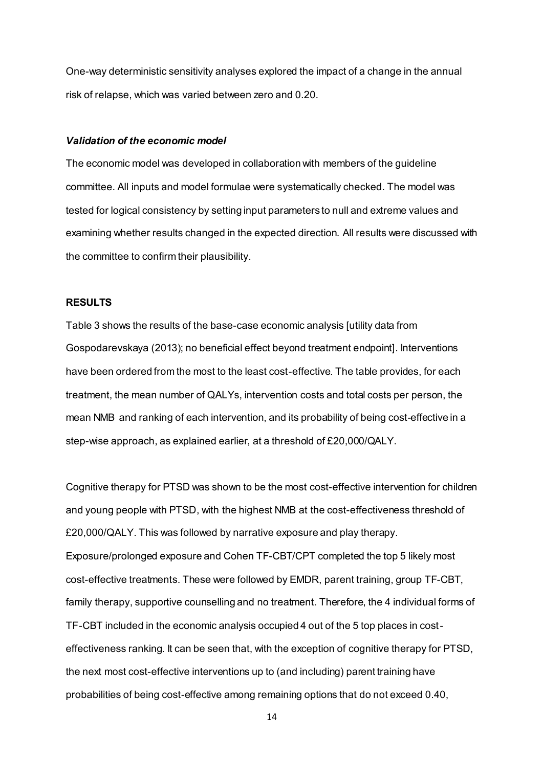One-way deterministic sensitivity analyses explored the impact of a change in the annual risk of relapse, which was varied between zero and 0.20.

#### *Validation of the economic model*

The economic model was developed in collaboration with members of the guideline committee. All inputs and model formulae were systematically checked. The model was tested for logical consistency by setting input parameters to null and extreme values and examining whether results changed in the expected direction. All results were discussed with the committee to confirm their plausibility.

#### **RESULTS**

Table 3 shows the results of the base-case economic analysis [utility data from Gospodarevskaya (2013); no beneficial effect beyond treatment endpoint]. Interventions have been ordered from the most to the least cost-effective. The table provides, for each treatment, the mean number of QALYs, intervention costs and total costs per person, the mean NMB and ranking of each intervention, and its probability of being cost-effective in a step-wise approach, as explained earlier, at a threshold of £20,000/QALY.

Cognitive therapy for PTSD was shown to be the most cost-effective intervention for children and young people with PTSD, with the highest NMB at the cost-effectiveness threshold of £20,000/QALY. This was followed by narrative exposure and play therapy. Exposure/prolonged exposure and Cohen TF-CBT/CPT completed the top 5 likely most cost-effective treatments. These were followed by EMDR, parent training, group TF-CBT, family therapy, supportive counselling and no treatment. Therefore, the 4 individual forms of TF-CBT included in the economic analysis occupied 4 out of the 5 top places in costeffectiveness ranking. It can be seen that, with the exception of cognitive therapy for PTSD, the next most cost-effective interventions up to (and including) parent training have probabilities of being cost-effective among remaining options that do not exceed 0.40,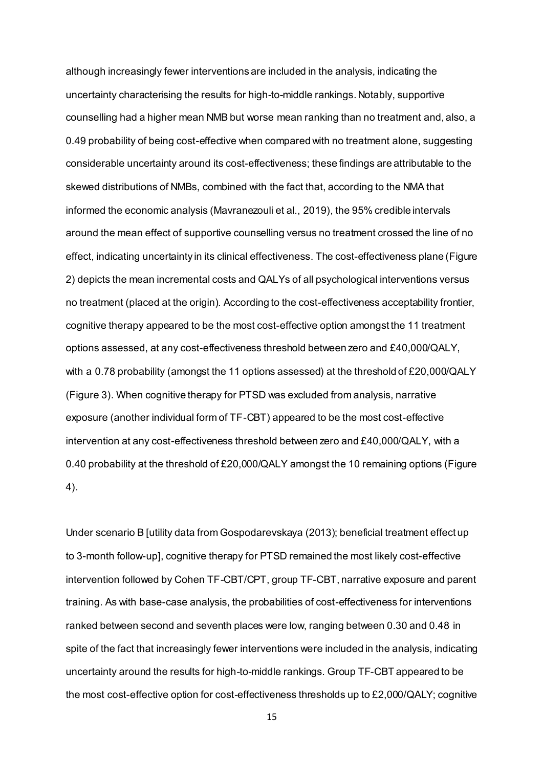although increasingly fewer interventions are included in the analysis, indicating the uncertainty characterising the results for high-to-middle rankings. Notably, supportive counselling had a higher mean NMB but worse mean ranking than no treatment and, also, a 0.49 probability of being cost-effective when compared with no treatment alone, suggesting considerable uncertainty around its cost-effectiveness; these findings are attributable to the skewed distributions of NMBs, combined with the fact that, according to the NMA that informed the economic analysis (Mavranezouli et al., 2019), the 95% credible intervals around the mean effect of supportive counselling versus no treatment crossed the line of no effect, indicating uncertainty in its clinical effectiveness. The cost-effectiveness plane (Figure 2) depicts the mean incremental costs and QALYs of all psychological interventions versus no treatment (placed at the origin). According to the cost-effectiveness acceptability frontier, cognitive therapy appeared to be the most cost-effective option amongst the 11 treatment options assessed, at any cost-effectiveness threshold between zero and £40,000/QALY, with a 0.78 probability (amongst the 11 options assessed) at the threshold of £20,000/QALY (Figure 3). When cognitive therapy for PTSD was excluded from analysis, narrative exposure (another individual form of TF-CBT) appeared to be the most cost-effective intervention at any cost-effectiveness threshold between zero and £40,000/QALY, with a 0.40 probability at the threshold of £20,000/QALY amongst the 10 remaining options (Figure 4).

Under scenario B [utility data from Gospodarevskaya (2013); beneficial treatment effect up to 3-month follow-up], cognitive therapy for PTSD remained the most likely cost-effective intervention followed by Cohen TF-CBT/CPT, group TF-CBT, narrative exposure and parent training. As with base-case analysis, the probabilities of cost-effectiveness for interventions ranked between second and seventh places were low, ranging between 0.30 and 0.48 in spite of the fact that increasingly fewer interventions were included in the analysis, indicating uncertainty around the results for high-to-middle rankings. Group TF-CBT appeared to be the most cost-effective option for cost-effectiveness thresholds up to £2,000/QALY; cognitive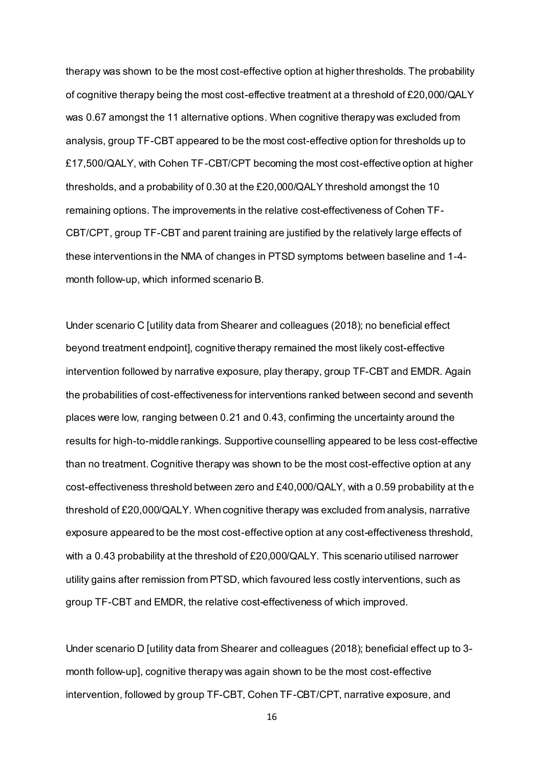therapy was shown to be the most cost-effective option at higher thresholds. The probability of cognitive therapy being the most cost-effective treatment at a threshold of £20,000/QALY was 0.67 amongst the 11 alternative options. When cognitive therapy was excluded from analysis, group TF-CBT appeared to be the most cost-effective option for thresholds up to £17,500/QALY, with Cohen TF-CBT/CPT becoming the most cost-effective option at higher thresholds, and a probability of 0.30 at the £20,000/QALY threshold amongst the 10 remaining options. The improvements in the relative cost-effectiveness of Cohen TF-CBT/CPT, group TF-CBT and parent training are justified by the relatively large effects of these interventions in the NMA of changes in PTSD symptoms between baseline and 1-4 month follow-up, which informed scenario B.

Under scenario C [utility data from Shearer and colleagues (2018); no beneficial effect beyond treatment endpoint], cognitive therapy remained the most likely cost-effective intervention followed by narrative exposure, play therapy, group TF-CBT and EMDR. Again the probabilities of cost-effectiveness for interventions ranked between second and seventh places were low, ranging between 0.21 and 0.43, confirming the uncertainty around the results for high-to-middle rankings. Supportive counselling appeared to be less cost-effective than no treatment. Cognitive therapy was shown to be the most cost-effective option at any cost-effectiveness threshold between zero and £40,000/QALY, with a 0.59 probability at the threshold of £20,000/QALY. When cognitive therapy was excluded from analysis, narrative exposure appeared to be the most cost-effective option at any cost-effectiveness threshold, with a 0.43 probability at the threshold of £20,000/QALY. This scenario utilised narrower utility gains after remission from PTSD, which favoured less costly interventions, such as group TF-CBT and EMDR, the relative cost-effectiveness of which improved.

Under scenario D [utility data from Shearer and colleagues (2018); beneficial effect up to 3 month follow-up], cognitive therapy was again shown to be the most cost-effective intervention, followed by group TF-CBT, Cohen TF-CBT/CPT, narrative exposure, and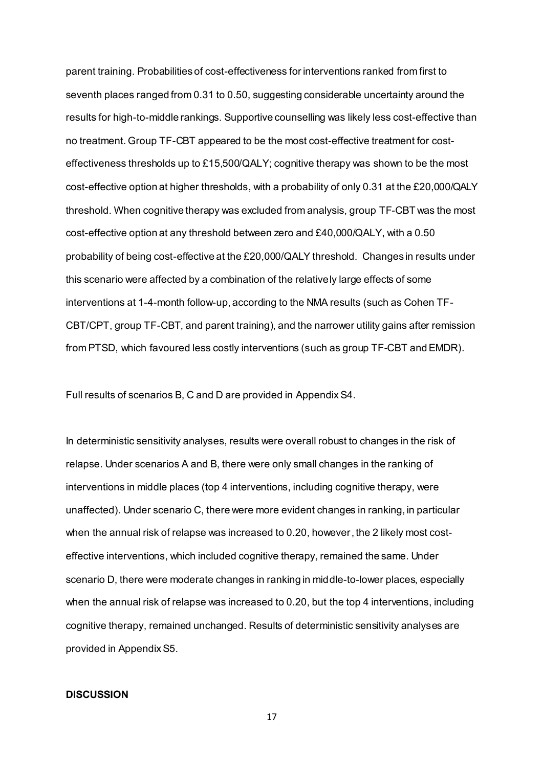parent training. Probabilities of cost-effectiveness for interventions ranked from first to seventh places ranged from 0.31 to 0.50, suggesting considerable uncertainty around the results for high-to-middle rankings. Supportive counselling was likely less cost-effective than no treatment. Group TF-CBT appeared to be the most cost-effective treatment for costeffectiveness thresholds up to £15,500/QALY; cognitive therapy was shown to be the most cost-effective option at higher thresholds, with a probability of only 0.31 at the £20,000/QALY threshold. When cognitive therapy was excluded from analysis, group TF-CBT was the most cost-effective option at any threshold between zero and £40,000/QALY, with a 0.50 probability of being cost-effective at the £20,000/QALY threshold. Changes in results under this scenario were affected by a combination of the relatively large effects of some interventions at 1-4-month follow-up, according to the NMA results (such as Cohen TF-CBT/CPT, group TF-CBT, and parent training), and the narrower utility gains after remission from PTSD, which favoured less costly interventions (such as group TF-CBT and EMDR).

Full results of scenarios B, C and D are provided in Appendix S4.

In deterministic sensitivity analyses, results were overall robust to changes in the risk of relapse. Under scenarios A and B, there were only small changes in the ranking of interventions in middle places (top 4 interventions, including cognitive therapy, were unaffected). Under scenario C, there were more evident changes in ranking, in particular when the annual risk of relapse was increased to 0.20, however, the 2 likely most costeffective interventions, which included cognitive therapy, remained the same. Under scenario D, there were moderate changes in ranking in middle-to-lower places, especially when the annual risk of relapse was increased to 0.20, but the top 4 interventions, including cognitive therapy, remained unchanged. Results of deterministic sensitivity analyses are provided in Appendix S5.

#### **DISCUSSION**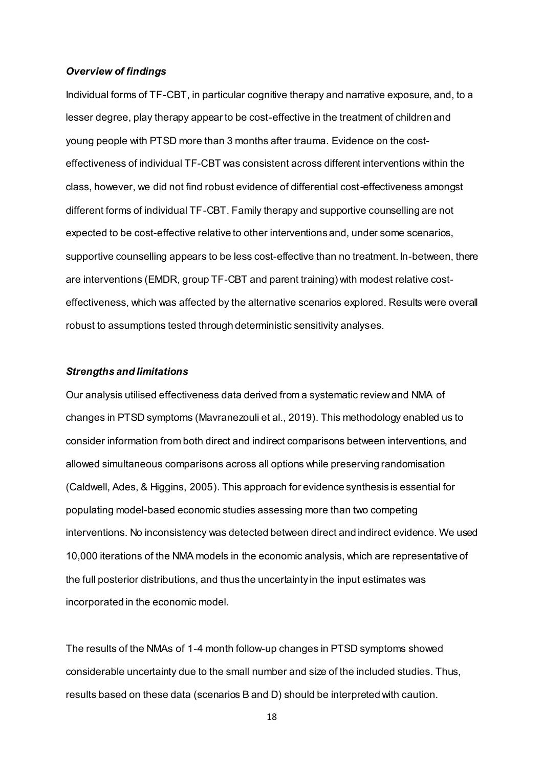#### *Overview of findings*

Individual forms of TF-CBT, in particular cognitive therapy and narrative exposure, and, to a lesser degree, play therapy appear to be cost-effective in the treatment of children and young people with PTSD more than 3 months after trauma. Evidence on the costeffectiveness of individual TF-CBT was consistent across different interventions within the class, however, we did not find robust evidence of differential cost-effectiveness amongst different forms of individual TF-CBT. Family therapy and supportive counselling are not expected to be cost-effective relative to other interventions and, under some scenarios, supportive counselling appears to be less cost-effective than no treatment. In-between, there are interventions (EMDR, group TF-CBT and parent training) with modest relative costeffectiveness, which was affected by the alternative scenarios explored. Results were overall robust to assumptions tested through deterministic sensitivity analyses.

#### *Strengths and limitations*

Our analysis utilised effectiveness data derived from a systematic review and NMA of changes in PTSD symptoms (Mavranezouli et al., 2019). This methodology enabled us to consider information from both direct and indirect comparisons between interventions, and allowed simultaneous comparisons across all options while preserving randomisation (Caldwell, Ades, & Higgins, 2005). This approach for evidence synthesis is essential for populating model-based economic studies assessing more than two competing interventions. No inconsistency was detected between direct and indirect evidence. We used 10,000 iterations of the NMA models in the economic analysis, which are representative of the full posterior distributions, and thus the uncertainty in the input estimates was incorporated in the economic model.

The results of the NMAs of 1-4 month follow-up changes in PTSD symptoms showed considerable uncertainty due to the small number and size of the included studies. Thus, results based on these data (scenarios B and D) should be interpreted with caution.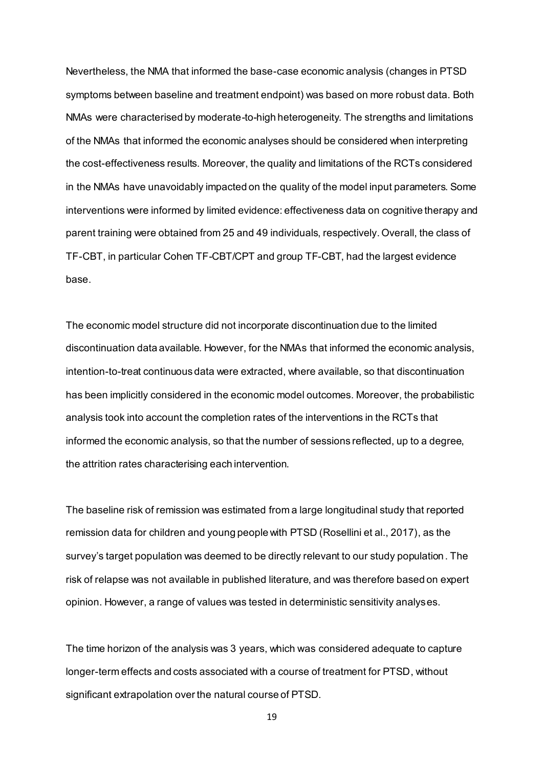Nevertheless, the NMA that informed the base-case economic analysis (changes in PTSD symptoms between baseline and treatment endpoint) was based on more robust data. Both NMAs were characterised by moderate-to-high heterogeneity. The strengths and limitations of the NMAs that informed the economic analyses should be considered when interpreting the cost-effectiveness results. Moreover, the quality and limitations of the RCTs considered in the NMAs have unavoidably impacted on the quality of the model input parameters. Some interventions were informed by limited evidence: effectiveness data on cognitive therapy and parent training were obtained from 25 and 49 individuals, respectively. Overall, the class of TF-CBT, in particular Cohen TF-CBT/CPT and group TF-CBT, had the largest evidence base.

The economic model structure did not incorporate discontinuation due to the limited discontinuation data available. However, for the NMAs that informed the economic analysis, intention-to-treat continuous data were extracted, where available, so that discontinuation has been implicitly considered in the economic model outcomes. Moreover, the probabilistic analysis took into account the completion rates of the interventions in the RCTs that informed the economic analysis, so that the number of sessions reflected, up to a degree, the attrition rates characterising each intervention.

The baseline risk of remission was estimated from a large longitudinal study that reported remission data for children and young people with PTSD (Rosellini et al., 2017), as the survey's target population was deemed to be directly relevant to our study population. The risk of relapse was not available in published literature, and was therefore based on expert opinion. However, a range of values was tested in deterministic sensitivity analyses.

The time horizon of the analysis was 3 years, which was considered adequate to capture longer-term effects and costs associated with a course of treatment for PTSD, without significant extrapolation over the natural course of PTSD.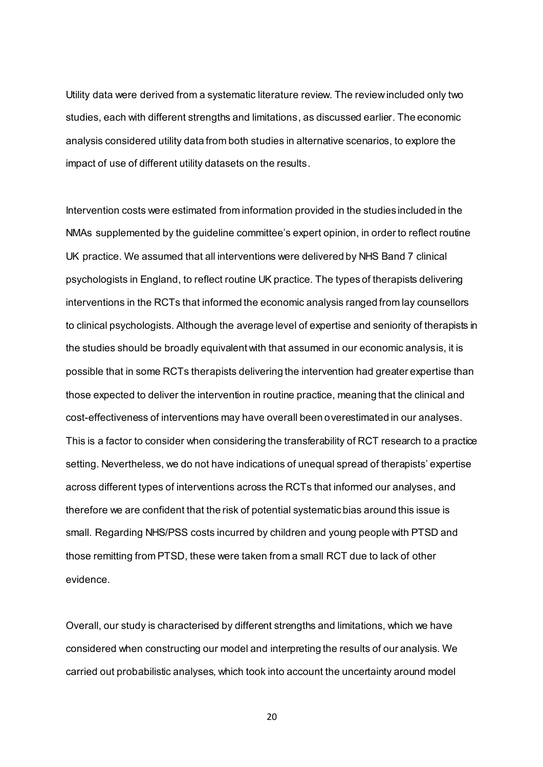Utility data were derived from a systematic literature review. The review included only two studies, each with different strengths and limitations, as discussed earlier. The economic analysis considered utility data from both studies in alternative scenarios, to explore the impact of use of different utility datasets on the results.

Intervention costs were estimated from information provided in the studies included in the NMAs supplemented by the guideline committee's expert opinion, in order to reflect routine UK practice. We assumed that all interventions were delivered by NHS Band 7 clinical psychologists in England, to reflect routine UK practice. The types of therapists delivering interventions in the RCTs that informed the economic analysis ranged from lay counsellors to clinical psychologists. Although the average level of expertise and seniority of therapists in the studies should be broadly equivalent with that assumed in our economic analysis, it is possible that in some RCTs therapists delivering the intervention had greater expertise than those expected to deliver the intervention in routine practice, meaning that the clinical and cost-effectiveness of interventions may have overall been overestimated in our analyses. This is a factor to consider when considering the transferability of RCT research to a practice setting. Nevertheless, we do not have indications of unequal spread of therapists' expertise across different types of interventions across the RCTs that informed our analyses, and therefore we are confident that the risk of potential systematic bias around this issue is small. Regarding NHS/PSS costs incurred by children and young people with PTSD and those remitting from PTSD, these were taken from a small RCT due to lack of other evidence.

Overall, our study is characterised by different strengths and limitations, which we have considered when constructing our model and interpreting the results of our analysis. We carried out probabilistic analyses, which took into account the uncertainty around model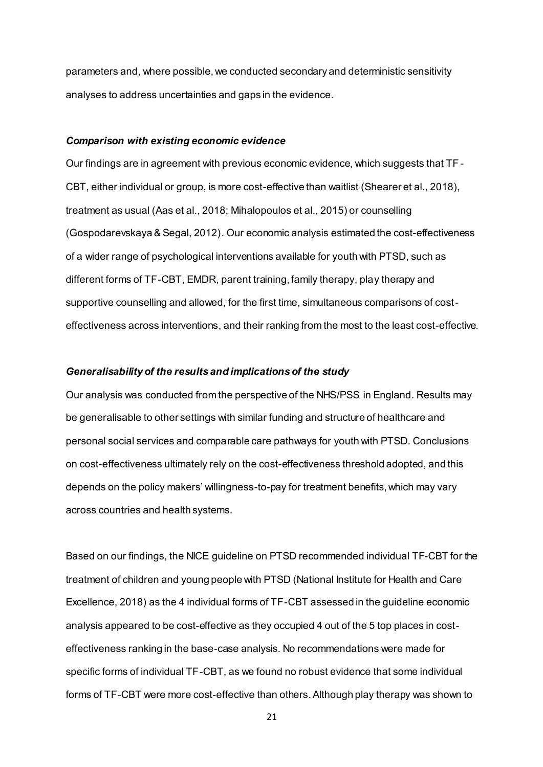parameters and, where possible, we conducted secondary and deterministic sensitivity analyses to address uncertainties and gaps in the evidence.

#### *Comparison with existing economic evidence*

Our findings are in agreement with previous economic evidence, which suggests that TF-CBT, either individual or group, is more cost-effective than waitlist (Shearer et al., 2018), treatment as usual (Aas et al., 2018; Mihalopoulos et al., 2015) or counselling (Gospodarevskaya & Segal, 2012). Our economic analysis estimated the cost-effectiveness of a wider range of psychological interventions available for youth with PTSD, such as different forms of TF-CBT, EMDR, parent training, family therapy, play therapy and supportive counselling and allowed, for the first time, simultaneous comparisons of costeffectiveness across interventions, and their ranking from the most to the least cost-effective.

#### *Generalisability of the results and implications of the study*

Our analysis was conducted from the perspective of the NHS/PSS in England. Results may be generalisable to other settings with similar funding and structure of healthcare and personal social services and comparable care pathways for youth with PTSD. Conclusions on cost-effectiveness ultimately rely on the cost-effectiveness threshold adopted, and this depends on the policy makers' willingness-to-pay for treatment benefits, which may vary across countries and health systems.

Based on our findings, the NICE guideline on PTSD recommended individual TF-CBT for the treatment of children and young people with PTSD (National Institute for Health and Care Excellence, 2018) as the 4 individual forms of TF-CBT assessed in the guideline economic analysis appeared to be cost-effective as they occupied 4 out of the 5 top places in costeffectiveness ranking in the base-case analysis. No recommendations were made for specific forms of individual TF-CBT, as we found no robust evidence that some individual forms of TF-CBT were more cost-effective than others. Although play therapy was shown to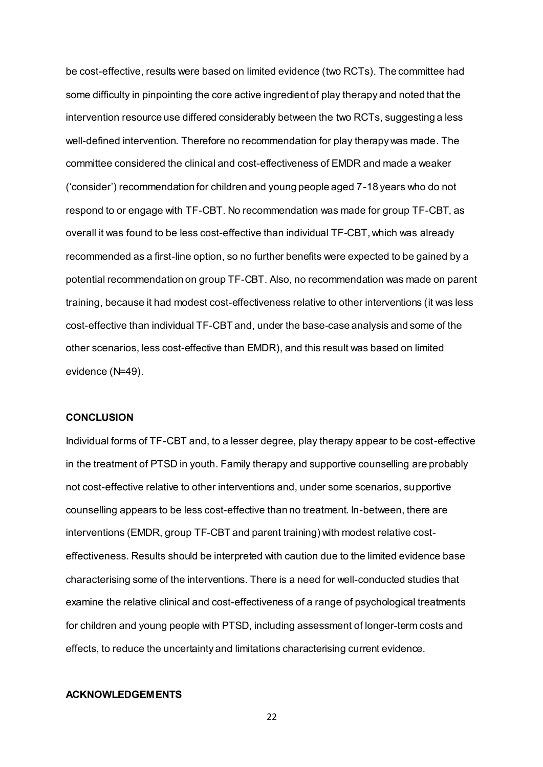be cost-effective, results were based on limited evidence (two RCTs). The committee had some difficulty in pinpointing the core active ingredient of play therapy and noted that the intervention resource use differed considerably between the two RCTs, suggesting a less well-defined intervention. Therefore no recommendation for play therapy was made. The committee considered the clinical and cost-effectiveness of EMDR and made a weaker ('consider') recommendation for children and young people aged 7-18 years who do not respond to or engage with TF-CBT. No recommendation was made for group TF-CBT, as overall it was found to be less cost-effective than individual TF-CBT, which was already recommended as a first-line option, so no further benefits were expected to be gained by a potential recommendation on group TF-CBT. Also, no recommendation was made on parent training, because it had modest cost-effectiveness relative to other interventions (it was less cost-effective than individual TF-CBT and, under the base-case analysis and some of the other scenarios, less cost-effective than EMDR), and this result was based on limited evidence (N=49).

### **CONCLUSION**

Individual forms of TF-CBT and, to a lesser degree, play therapy appear to be cost-effective in the treatment of PTSD in youth. Family therapy and supportive counselling are probably not cost-effective relative to other interventions and, under some scenarios, supportive counselling appears to be less cost-effective than no treatment. In-between, there are interventions (EMDR, group TF-CBT and parent training) with modest relative costeffectiveness. Results should be interpreted with caution due to the limited evidence base characterising some of the interventions. There is a need for well-conducted studies that examine the relative clinical and cost-effectiveness of a range of psychological treatments for children and young people with PTSD, including assessment of longer-term costs and effects, to reduce the uncertainty and limitations characterising current evidence.

### **ACKNOWLEDGEMENTS**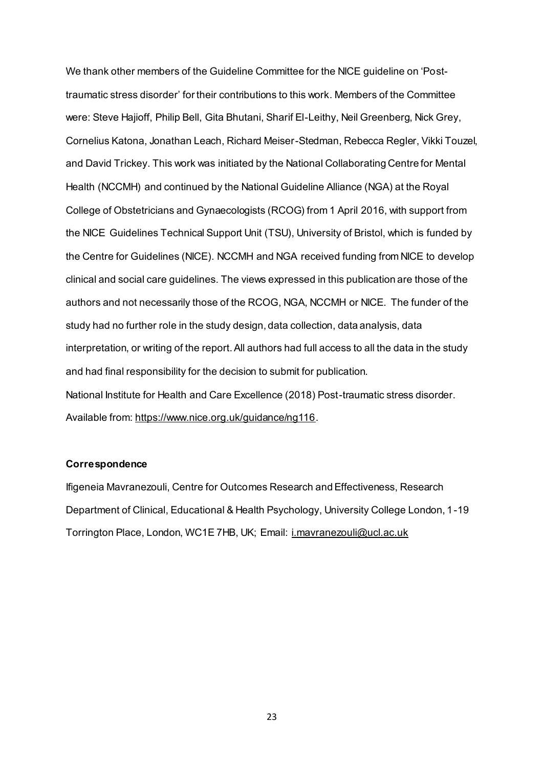We thank other members of the Guideline Committee for the NICE guideline on 'Posttraumatic stress disorder' for their contributions to this work. Members of the Committee were: Steve Hajioff, Philip Bell, Gita Bhutani, Sharif El-Leithy, Neil Greenberg, Nick Grey, Cornelius Katona, Jonathan Leach, Richard Meiser-Stedman, Rebecca Regler, Vikki Touzel, and David Trickey. This work was initiated by the National Collaborating Centre for Mental Health (NCCMH) and continued by the National Guideline Alliance (NGA) at the Royal College of Obstetricians and Gynaecologists (RCOG) from 1 April 2016, with support from the NICE Guidelines Technical Support Unit (TSU), University of Bristol, which is funded by the Centre for Guidelines (NICE). NCCMH and NGA received funding from NICE to develop clinical and social care guidelines. The views expressed in this publication are those of the authors and not necessarily those of the RCOG, NGA, NCCMH or NICE. The funder of the study had no further role in the study design, data collection, data analysis, data interpretation, or writing of the report. All authors had full access to all the data in the study and had final responsibility for the decision to submit for publication. National Institute for Health and Care Excellence (2018) Post-traumatic stress disorder. Available from:<https://www.nice.org.uk/guidance/ng116>.

### **Correspondence**

Ifigeneia Mavranezouli, Centre for Outcomes Research and Effectiveness, Research Department of Clinical, Educational & Health Psychology, University College London, 1-19 Torrington Place, London, WC1E 7HB, UK; Email: [i.mavranezouli@ucl.ac.uk](mailto:i.mavranezouli@ucl.ac.uk)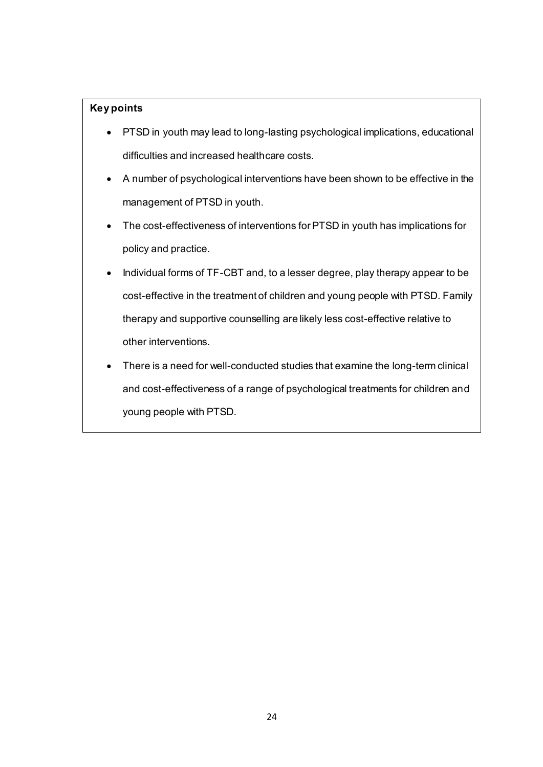## **Key points**

- PTSD in youth may lead to long-lasting psychological implications, educational difficulties and increased healthcare costs.
- A number of psychological interventions have been shown to be effective in the management of PTSD in youth.
- The cost-effectiveness of interventions for PTSD in youth has implications for policy and practice.
- Individual forms of TF-CBT and, to a lesser degree, play therapy appear to be cost-effective in the treatment of children and young people with PTSD. Family therapy and supportive counselling are likely less cost-effective relative to other interventions.
- There is a need for well-conducted studies that examine the long-term clinical and cost-effectiveness of a range of psychological treatments for children and young people with PTSD.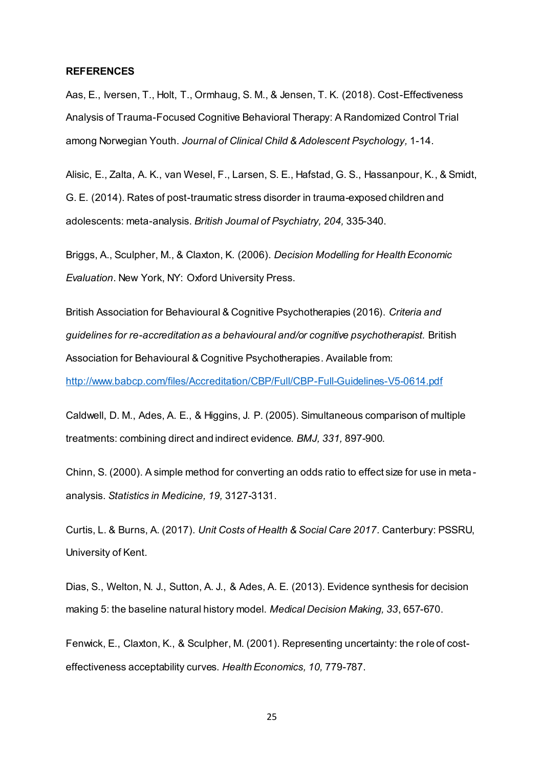#### **REFERENCES**

Aas, E., Iversen, T., Holt, T., Ormhaug, S. M., & Jensen, T. K. (2018). Cost-Effectiveness Analysis of Trauma-Focused Cognitive Behavioral Therapy: A Randomized Control Trial among Norwegian Youth. *Journal of Clinical Child & Adolescent Psychology,* 1-14.

Alisic, E., Zalta, A. K., van Wesel, F., Larsen, S. E., Hafstad, G. S., Hassanpour, K., & Smidt, G. E. (2014). Rates of post-traumatic stress disorder in trauma-exposed children and adolescents: meta-analysis. *British Journal of Psychiatry, 204,* 335-340.

Briggs, A., Sculpher, M., & Claxton, K. (2006). *Decision Modelling for Health Economic Evaluation*. New York, NY: Oxford University Press.

British Association for Behavioural & Cognitive Psychotherapies (2016). *Criteria and guidelines for re-accreditation as a behavioural and/or cognitive psychotherapist.* British Association for Behavioural & Cognitive Psychotherapies. Available from:

<http://www.babcp.com/files/Accreditation/CBP/Full/CBP-Full-Guidelines-V5-0614.pdf>

Caldwell, D. M., Ades, A. E., & Higgins, J. P. (2005). Simultaneous comparison of multiple treatments: combining direct and indirect evidence. *BMJ, 331,* 897-900.

Chinn, S. (2000). A simple method for converting an odds ratio to effect size for use in meta analysis. *Statistics in Medicine, 19,* 3127-3131.

Curtis, L. & Burns, A. (2017). *Unit Costs of Health & Social Care 2017.* Canterbury: PSSRU, University of Kent.

Dias, S., Welton, N. J., Sutton, A. J., & Ades, A. E. (2013). Evidence synthesis for decision making 5: the baseline natural history model. *Medical Decision Making, 33*, 657-670.

Fenwick, E., Claxton, K., & Sculpher, M. (2001). Representing uncertainty: the role of costeffectiveness acceptability curves. *Health Economics, 10,* 779-787.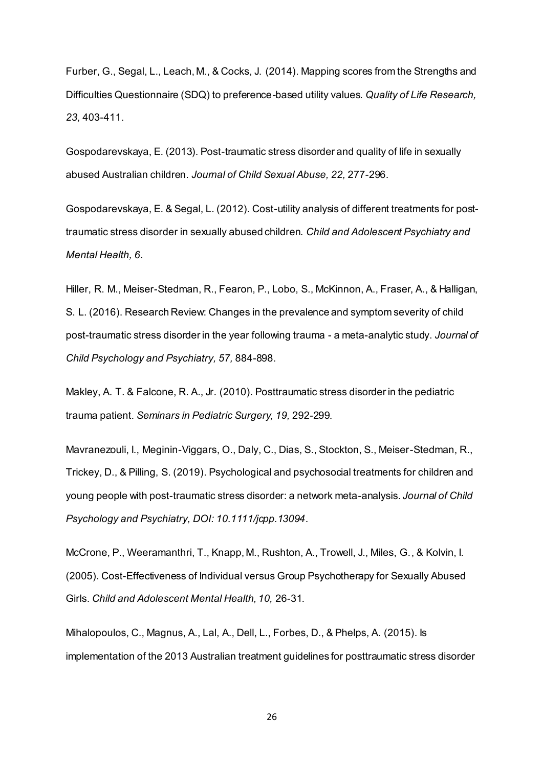Furber, G., Segal, L., Leach, M., & Cocks, J. (2014). Mapping scores from the Strengths and Difficulties Questionnaire (SDQ) to preference-based utility values. *Quality of Life Research, 23,* 403-411.

Gospodarevskaya, E. (2013). Post-traumatic stress disorder and quality of life in sexually abused Australian children. *Journal of Child Sexual Abuse, 22,* 277-296.

Gospodarevskaya, E. & Segal, L. (2012). Cost-utility analysis of different treatments for posttraumatic stress disorder in sexually abused children. *Child and Adolescent Psychiatry and Mental Health, 6*.

Hiller, R. M., Meiser-Stedman, R., Fearon, P., Lobo, S., McKinnon, A., Fraser, A., & Halligan, S. L. (2016). Research Review: Changes in the prevalence and symptom severity of child post-traumatic stress disorder in the year following trauma - a meta-analytic study. *Journal of Child Psychology and Psychiatry, 57,* 884-898.

Makley, A. T. & Falcone, R. A., Jr. (2010). Posttraumatic stress disorder in the pediatric trauma patient. *Seminars in Pediatric Surgery, 19,* 292-299.

Mavranezouli, I., Meginin-Viggars, O., Daly, C., Dias, S., Stockton, S., Meiser-Stedman, R., Trickey, D., & Pilling, S. (2019). Psychological and psychosocial treatments for children and young people with post-traumatic stress disorder: a network meta-analysis. *Journal of Child Psychology and Psychiatry, DOI: 10.1111/jcpp.13094*.

McCrone, P., Weeramanthri, T., Knapp, M., Rushton, A., Trowell, J., Miles, G., & Kolvin, I. (2005). Cost-Effectiveness of Individual versus Group Psychotherapy for Sexually Abused Girls. *Child and Adolescent Mental Health, 10,* 26-31.

Mihalopoulos, C., Magnus, A., Lal, A., Dell, L., Forbes, D., & Phelps, A. (2015). Is implementation of the 2013 Australian treatment guidelines for posttraumatic stress disorder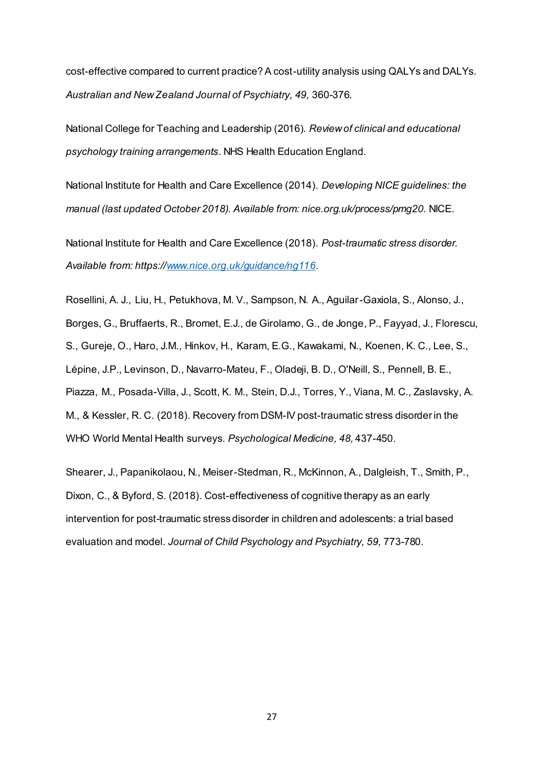cost-effective compared to current practice? A cost-utility analysis using QALYs and DALYs. *Australian and New Zealand Journal of Psychiatry, 49,* 360-376.

National College for Teaching and Leadership (2016). *Review of clinical and educational psychology training arrangements*. NHS Health Education England.

National Institute for Health and Care Excellence (2014). *Developing NICE guidelines: the manual (last updated October 2018). Available from: nice.org.uk/process/pmg20.* NICE.

National Institute for Health and Care Excellence (2018). *Post-traumatic stress disorder. Available from: https://www.nice.org.uk/guidance/ng116*.

Rosellini, A. J., Liu, H., Petukhova, M. V., Sampson, N. A., Aguilar-Gaxiola, S., Alonso, J., Borges, G., Bruffaerts, R., Bromet, E.J., de Girolamo, G., de Jonge, P., Fayyad, J., Florescu, S., Gureje, O., Haro, J.M., Hinkov, H., Karam, E.G., Kawakami, N., Koenen, K. C., Lee, S., Lépine, J.P., Levinson, D., Navarro-Mateu, F., Oladeji, B. D., O'Neill, S., Pennell, B. E., Piazza, M., Posada-Villa, J., Scott, K. M., Stein, D.J., Torres, Y., Viana, M. C., Zaslavsky, A. M., & Kessler, R. C. (2018). Recovery from DSM-IV post-traumatic stress disorder in the WHO World Mental Health surveys. *Psychological Medicine, 48,* 437-450.

Shearer, J., Papanikolaou, N., Meiser-Stedman, R., McKinnon, A., Dalgleish, T., Smith, P., Dixon, C., & Byford, S. (2018). Cost-effectiveness of cognitive therapy as an early intervention for post-traumatic stress disorder in children and adolescents: a trial based evaluation and model. *Journal of Child Psychology and Psychiatry, 59,* 773-780.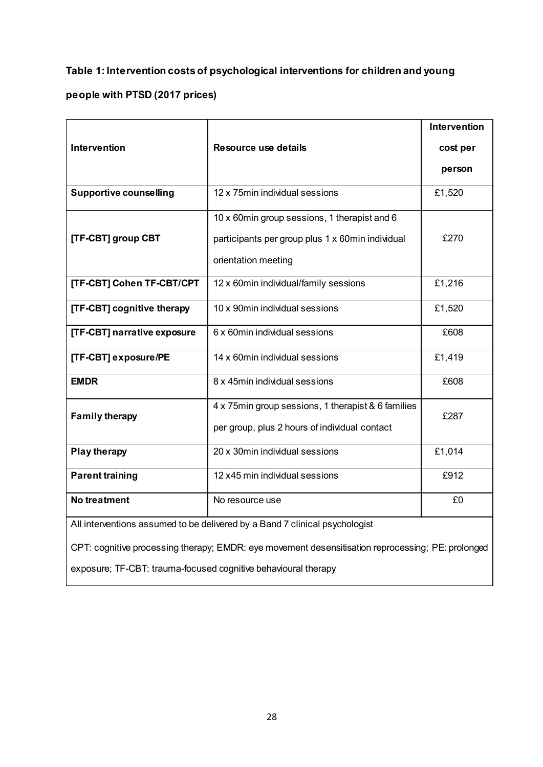## **Table 1: Intervention costs of psychological interventions for children and young**

## **people with PTSD (2017 prices)**

|                                                                                                   |                                                    | Intervention |  |  |
|---------------------------------------------------------------------------------------------------|----------------------------------------------------|--------------|--|--|
| Intervention                                                                                      | Resource use details                               | cost per     |  |  |
|                                                                                                   |                                                    | person       |  |  |
| <b>Supportive counselling</b>                                                                     | 12 x 75min individual sessions                     | £1,520       |  |  |
|                                                                                                   | 10 x 60min group sessions, 1 therapist and 6       |              |  |  |
| [TF-CBT] group CBT                                                                                | participants per group plus 1 x 60min individual   | £270         |  |  |
|                                                                                                   | orientation meeting                                |              |  |  |
| [TF-CBT] Cohen TF-CBT/CPT                                                                         | 12 x 60min individual/family sessions              | £1,216       |  |  |
| [TF-CBT] cognitive therapy                                                                        | 10 x 90min individual sessions                     | £1,520       |  |  |
| [TF-CBT] narrative exposure                                                                       | 6 x 60min individual sessions                      | £608         |  |  |
| [TF-CBT] exposure/PE                                                                              | 14 x 60min individual sessions                     | £1,419       |  |  |
| <b>EMDR</b>                                                                                       | 8 x 45min individual sessions                      | £608         |  |  |
| <b>Family therapy</b>                                                                             | 4 x 75min group sessions, 1 therapist & 6 families | £287         |  |  |
|                                                                                                   | per group, plus 2 hours of individual contact      |              |  |  |
| <b>Play therapy</b>                                                                               | 20 x 30min individual sessions                     | £1,014       |  |  |
| <b>Parent training</b>                                                                            | 12 x45 min individual sessions                     | £912         |  |  |
| No treatment                                                                                      | No resource use                                    | £0           |  |  |
| All interventions assumed to be delivered by a Band 7 clinical psychologist                       |                                                    |              |  |  |
| CPT: cognitive processing therapy; EMDR: eye movement desensitisation reprocessing; PE: prolonged |                                                    |              |  |  |

exposure; TF-CBT: trauma-focused cognitive behavioural therapy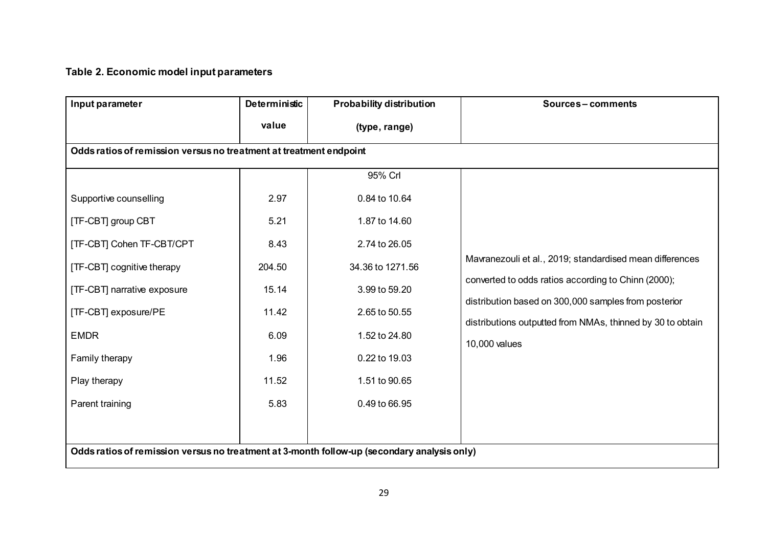# **Table 2. Economic model input parameters**

| Input parameter                                                                             | Deterministic | <b>Probability distribution</b> | Sources-comments                                                                                                   |  |  |  |
|---------------------------------------------------------------------------------------------|---------------|---------------------------------|--------------------------------------------------------------------------------------------------------------------|--|--|--|
|                                                                                             | value         | (type, range)                   |                                                                                                                    |  |  |  |
| Odds ratios of remission versus no treatment at treatment endpoint                          |               |                                 |                                                                                                                    |  |  |  |
|                                                                                             |               | 95% Crl                         |                                                                                                                    |  |  |  |
| Supportive counselling                                                                      | 2.97          | 0.84 to 10.64                   |                                                                                                                    |  |  |  |
| [TF-CBT] group CBT                                                                          | 5.21          | 1.87 to 14.60                   |                                                                                                                    |  |  |  |
| [TF-CBT] Cohen TF-CBT/CPT                                                                   | 8.43          | 2.74 to 26.05                   |                                                                                                                    |  |  |  |
| [TF-CBT] cognitive therapy                                                                  | 204.50        | 34.36 to 1271.56                | Mavranezouli et al., 2019; standardised mean differences                                                           |  |  |  |
| <b>ITF-CBT</b> narrative exposure                                                           | 15.14         | 3.99 to 59.20                   | converted to odds ratios according to Chinn (2000);                                                                |  |  |  |
| [TF-CBT] exposure/PE                                                                        | 11.42         | 2.65 to 50.55                   | distribution based on 300,000 samples from posterior<br>distributions outputted from NMAs, thinned by 30 to obtain |  |  |  |
| <b>EMDR</b>                                                                                 | 6.09          | 1.52 to 24.80                   | 10,000 values                                                                                                      |  |  |  |
| Family therapy                                                                              | 1.96          | 0.22 to 19.03                   |                                                                                                                    |  |  |  |
| Play therapy                                                                                | 11.52         | 1.51 to 90.65                   |                                                                                                                    |  |  |  |
| Parent training                                                                             | 5.83          | 0.49 to 66.95                   |                                                                                                                    |  |  |  |
|                                                                                             |               |                                 |                                                                                                                    |  |  |  |
| Odds ratios of remission versus no treatment at 3-month follow-up (secondary analysis only) |               |                                 |                                                                                                                    |  |  |  |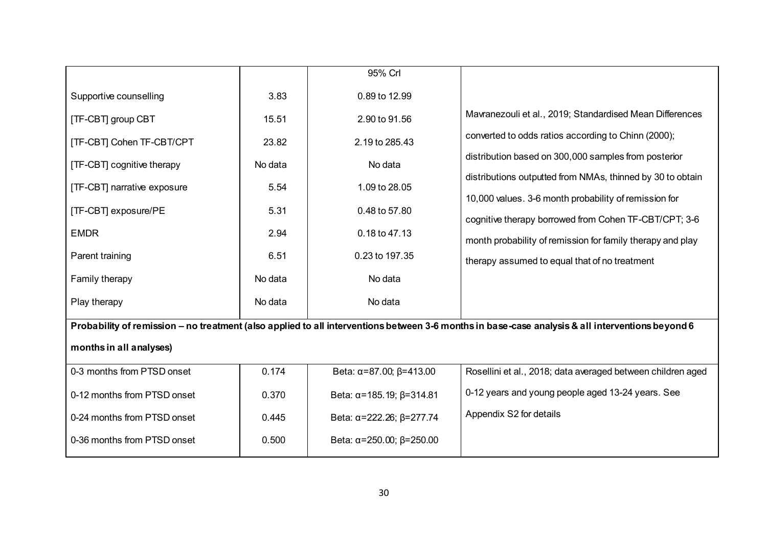|                                                                                                                                                  |         | 95% Crl                                    |                                                                                                                     |  |  |
|--------------------------------------------------------------------------------------------------------------------------------------------------|---------|--------------------------------------------|---------------------------------------------------------------------------------------------------------------------|--|--|
| Supportive counselling                                                                                                                           | 3.83    | 0.89 to 12.99                              |                                                                                                                     |  |  |
| [TF-CBT] group CBT                                                                                                                               | 15.51   | 2.90 to 91.56                              | Mavranezouli et al., 2019; Standardised Mean Differences                                                            |  |  |
| <b>[TF-CBT] Cohen TF-CBT/CPT</b>                                                                                                                 | 23.82   | 2.19 to 285.43                             | converted to odds ratios according to Chinn (2000);                                                                 |  |  |
| [TF-CBT] cognitive therapy                                                                                                                       | No data | No data                                    | distribution based on 300,000 samples from posterior                                                                |  |  |
| [TF-CBT] narrative exposure                                                                                                                      | 5.54    | 1.09 to 28.05                              | distributions outputted from NMAs, thinned by 30 to obtain                                                          |  |  |
| [TF-CBT] exposure/PE                                                                                                                             | 5.31    | 0.48 to 57.80                              | 10,000 values. 3-6 month probability of remission for                                                               |  |  |
| <b>EMDR</b>                                                                                                                                      | 2.94    | 0.18 to 47.13                              | cognitive therapy borrowed from Cohen TF-CBT/CPT; 3-6<br>month probability of remission for family therapy and play |  |  |
| Parent training                                                                                                                                  | 6.51    | 0.23 to 197.35                             | therapy assumed to equal that of no treatment                                                                       |  |  |
| Family therapy                                                                                                                                   | No data | No data                                    |                                                                                                                     |  |  |
| Play therapy                                                                                                                                     | No data | No data                                    |                                                                                                                     |  |  |
| Probability of remission - no treatment (also applied to all interventions between 3-6 months in base-case analysis & all interventions beyond 6 |         |                                            |                                                                                                                     |  |  |
| months in all analyses)                                                                                                                          |         |                                            |                                                                                                                     |  |  |
| 0-3 months from PTSD onset                                                                                                                       | 0.174   | Beta: $\alpha = 87.00$ ; $\beta = 413.00$  | Rosellini et al., 2018; data averaged between children aged                                                         |  |  |
| 0-12 months from PTSD onset                                                                                                                      | 0.370   | Beta: $\alpha$ =185.19; $\beta$ =314.81    | 0-12 years and young people aged 13-24 years. See                                                                   |  |  |
| 0-24 months from PTSD onset                                                                                                                      | 0.445   | Beta: α=222.26; β=277.74                   | Appendix S2 for details                                                                                             |  |  |
| 0-36 months from PTSD onset                                                                                                                      | 0.500   | Beta: $\alpha = 250.00$ ; $\beta = 250.00$ |                                                                                                                     |  |  |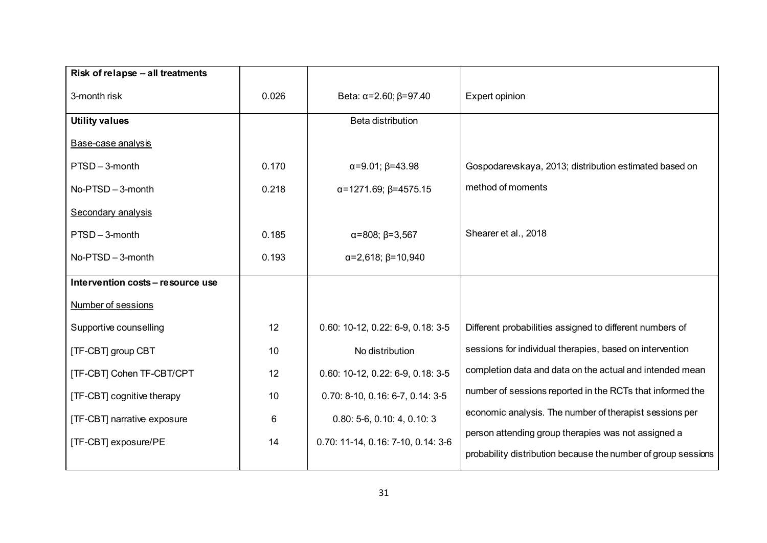| Risk of relapse - all treatments  |       |                                      |                                                               |
|-----------------------------------|-------|--------------------------------------|---------------------------------------------------------------|
| 3-month risk                      | 0.026 | Beta: $\alpha = 2.60; \beta = 97.40$ | Expert opinion                                                |
| <b>Utility values</b>             |       | Beta distribution                    |                                                               |
| Base-case analysis                |       |                                      |                                                               |
| PTSD-3-month                      | 0.170 | $\alpha = 9.01; \beta = 43.98$       | Gospodarevskaya, 2013; distribution estimated based on        |
| No-PTSD - 3-month                 | 0.218 | $\alpha$ =1271.69; $\beta$ =4575.15  | method of moments                                             |
| Secondary analysis                |       |                                      |                                                               |
| PTSD-3-month                      | 0.185 | $\alpha = 808; \beta = 3,567$        | Shearer et al., 2018                                          |
| $No-PTSD - 3$ -month              | 0.193 | $\alpha = 2,618; \beta = 10,940$     |                                                               |
| Intervention costs - resource use |       |                                      |                                                               |
| Number of sessions                |       |                                      |                                                               |
| Supportive counselling            | 12    | 0.60: 10-12, 0.22: 6-9, 0.18: 3-5    | Different probabilities assigned to different numbers of      |
| [TF-CBT] group CBT                | 10    | No distribution                      | sessions for individual therapies, based on intervention      |
| [TF-CBT] Cohen TF-CBT/CPT         | 12    | 0.60: 10-12, 0.22: 6-9, 0.18: 3-5    | completion data and data on the actual and intended mean      |
| [TF-CBT] cognitive therapy        | 10    | 0.70: 8-10, 0.16: 6-7, 0.14: 3-5     | number of sessions reported in the RCTs that informed the     |
| [TF-CBT] narrative exposure       | 6     | $0.80: 5-6, 0.10: 4, 0.10: 3$        | economic analysis. The number of therapist sessions per       |
| [TF-CBT] exposure/PE              | 14    | 0.70: 11-14, 0.16: 7-10, 0.14: 3-6   | person attending group therapies was not assigned a           |
|                                   |       |                                      | probability distribution because the number of group sessions |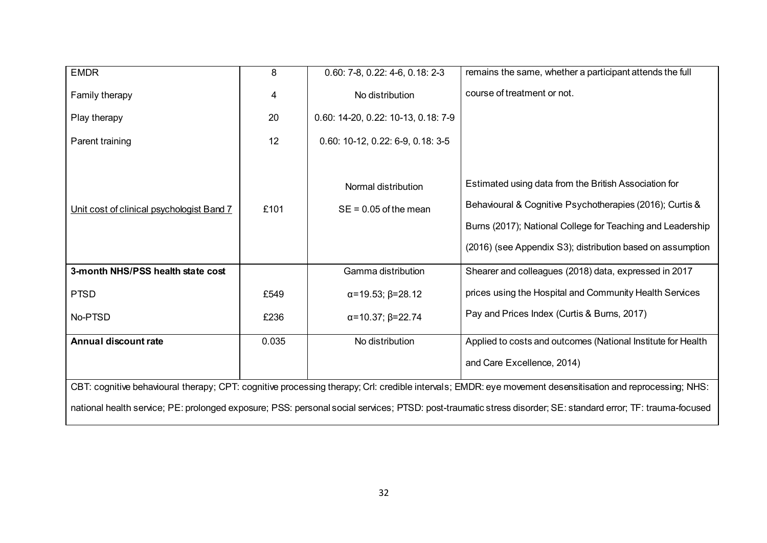| <b>EMDR</b>                                                                                                                                                  | 8     | $0.60: 7-8, 0.22: 4-6, 0.18: 2-3$              | remains the same, whether a participant attends the full                                                                                                                                                                                      |
|--------------------------------------------------------------------------------------------------------------------------------------------------------------|-------|------------------------------------------------|-----------------------------------------------------------------------------------------------------------------------------------------------------------------------------------------------------------------------------------------------|
| Family therapy                                                                                                                                               | 4     | No distribution                                | course of treatment or not.                                                                                                                                                                                                                   |
| Play therapy                                                                                                                                                 | 20    | 0.60: 14-20, 0.22: 10-13, 0.18: 7-9            |                                                                                                                                                                                                                                               |
| Parent training                                                                                                                                              | 12    | 0.60: 10-12, 0.22: 6-9, 0.18: 3-5              |                                                                                                                                                                                                                                               |
| Unit cost of clinical psychologist Band 7                                                                                                                    | £101  | Normal distribution<br>$SE = 0.05$ of the mean | Estimated using data from the British Association for<br>Behavioural & Cognitive Psychotherapies (2016); Curtis &<br>Burns (2017); National College for Teaching and Leadership<br>(2016) (see Appendix S3); distribution based on assumption |
| 3-month NHS/PSS health state cost                                                                                                                            |       | Gamma distribution                             | Shearer and colleagues (2018) data, expressed in 2017                                                                                                                                                                                         |
| <b>PTSD</b>                                                                                                                                                  | £549  | $\alpha = 19.53; \beta = 28.12$                | prices using the Hospital and Community Health Services                                                                                                                                                                                       |
| No-PTSD                                                                                                                                                      | £236  | $\alpha = 10.37; \beta = 22.74$                | Pay and Prices Index (Curtis & Burns, 2017)                                                                                                                                                                                                   |
| Annual discount rate                                                                                                                                         | 0.035 | No distribution                                | Applied to costs and outcomes (National Institute for Health<br>and Care Excellence, 2014)                                                                                                                                                    |
| CBT: cognitive behavioural therapy; CPT: cognitive processing therapy; Crl: credible intervals; EMDR: eye movement desensitisation and reprocessing; NHS:    |       |                                                |                                                                                                                                                                                                                                               |
| national health service; PE: prolonged exposure; PSS: personal social services; PTSD: post-traumatic stress disorder; SE: standard error; TF: trauma-focused |       |                                                |                                                                                                                                                                                                                                               |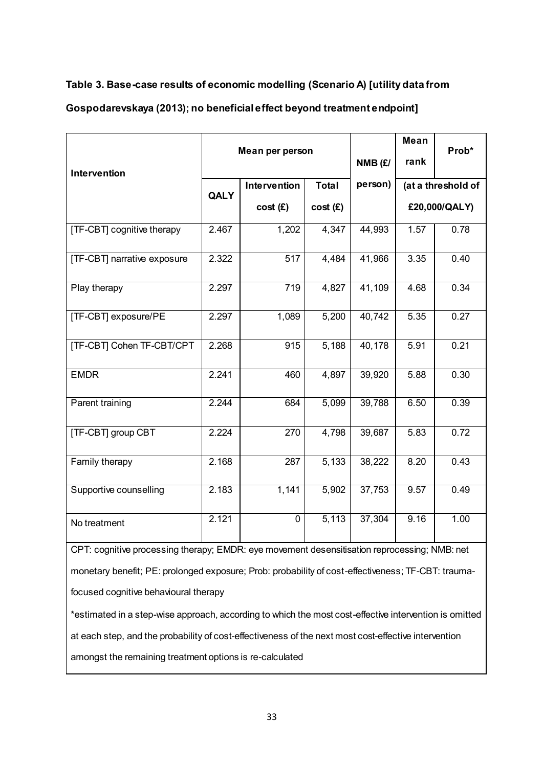## **Table 3. Base-case results of economic modelling (Scenario A) [utility data from**

## **Gospodarevskaya (2013); no beneficial effect beyond treatment endpoint]**

|                                                                                                    | Mean per person |                  |              |         | Mean          |                    |
|----------------------------------------------------------------------------------------------------|-----------------|------------------|--------------|---------|---------------|--------------------|
| Intervention                                                                                       |                 |                  |              | NMB (£/ | rank          | Prob*              |
|                                                                                                    | <b>QALY</b>     | Intervention     | <b>Total</b> | person) |               | (at a threshold of |
|                                                                                                    |                 | cost(E)          | cost(E)      |         | £20,000/QALY) |                    |
| [TF-CBT] cognitive therapy                                                                         | 2.467           | 1,202            | 4,347        | 44,993  | 1.57          | 0.78               |
| [TF-CBT] narrative exposure                                                                        | 2.322           | $\overline{517}$ | 4,484        | 41,966  | 3.35          | 0.40               |
| Play therapy                                                                                       | 2.297           | 719              | 4,827        | 41,109  | 4.68          | 0.34               |
| [TF-CBT] exposure/PE                                                                               | 2.297           | 1,089            | 5,200        | 40,742  | 5.35          | 0.27               |
| <b>[TF-CBT] Cohen TF-CBT/CPT</b>                                                                   | 2.268           | 915              | 5,188        | 40,178  | 5.91          | 0.21               |
| <b>EMDR</b>                                                                                        | 2.241           | 460              | 4,897        | 39,920  | 5.88          | 0.30               |
| Parent training                                                                                    | 2.244           | 684              | 5,099        | 39,788  | 6.50          | 0.39               |
| [TF-CBT] group CBT                                                                                 | 2.224           | 270              | 4,798        | 39,687  | 5.83          | 0.72               |
| Family therapy                                                                                     | 2.168           | 287              | 5,133        | 38,222  | 8.20          | 0.43               |
| Supportive counselling                                                                             | 2.183           | 1,141            | 5,902        | 37,753  | 9.57          | 0.49               |
| No treatment                                                                                       | 2.121           | $\overline{0}$   | 5,113        | 37,304  | 9.16          | 1.00               |
| CPT: cognitive processing therapy; EMDR: eye movement desensitisation reprocessing; NMB: net       |                 |                  |              |         |               |                    |
| monetary benefit; PE: prolonged exposure; Prob: probability of cost-effectiveness; TF-CBT: trauma- |                 |                  |              |         |               |                    |

focused cognitive behavioural therapy

\*estimated in a step-wise approach, according to which the most cost-effective intervention is omitted at each step, and the probability of cost-effectiveness of the next most cost-effective intervention amongst the remaining treatment options is re-calculated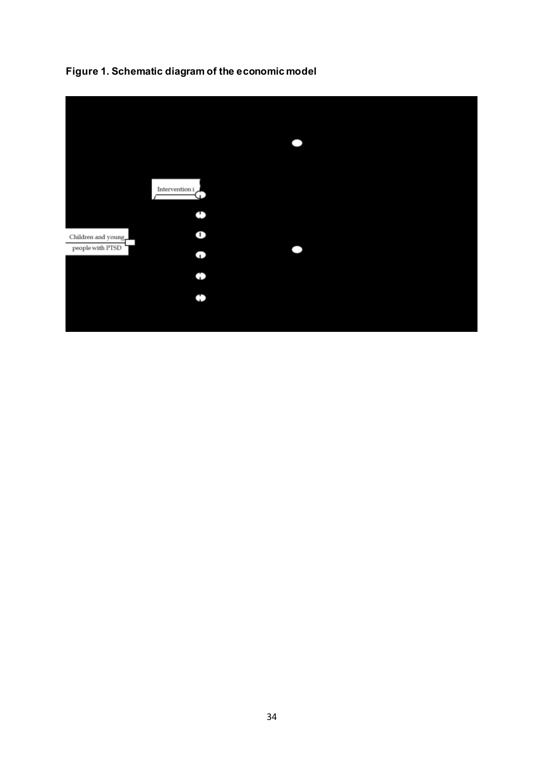

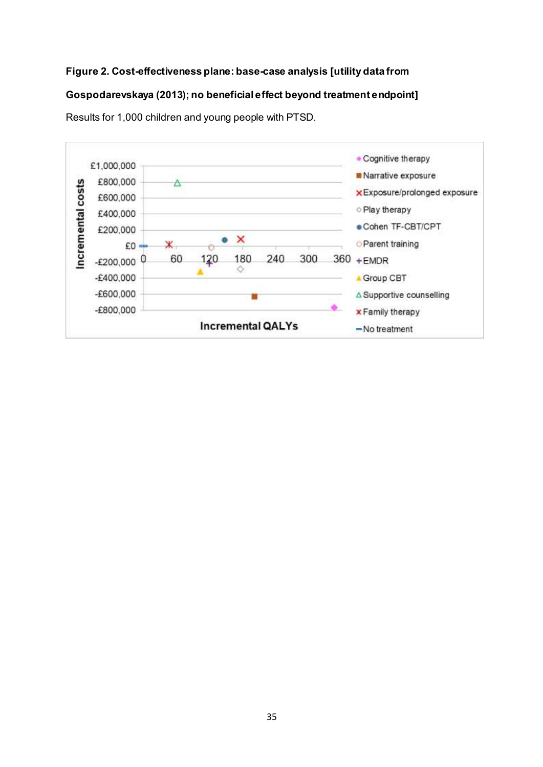## **Figure 2. Cost-effectiveness plane: base-case analysis [utility data from**

## **Gospodarevskaya (2013); no beneficial effect beyond treatment endpoint]**



Results for 1,000 children and young people with PTSD.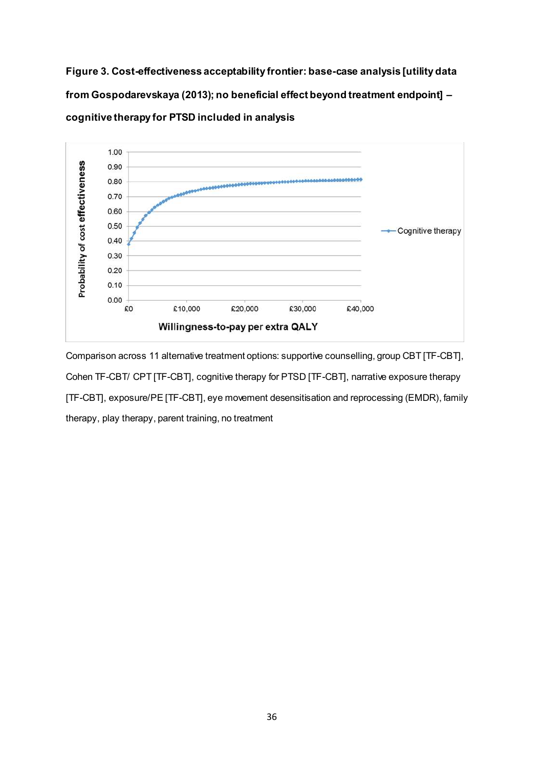**Figure 3. Cost-effectiveness acceptability frontier: base-case analysis [utility data from Gospodarevskaya (2013); no beneficial effect beyond treatment endpoint] – cognitive therapy for PTSD included in analysis**



Comparison across 11 alternative treatment options: supportive counselling, group CBT [TF-CBT], Cohen TF-CBT/ CPT [TF-CBT], cognitive therapy for PTSD [TF-CBT], narrative exposure therapy [TF-CBT], exposure/PE [TF-CBT], eye movement desensitisation and reprocessing (EMDR), family therapy, play therapy, parent training, no treatment

36